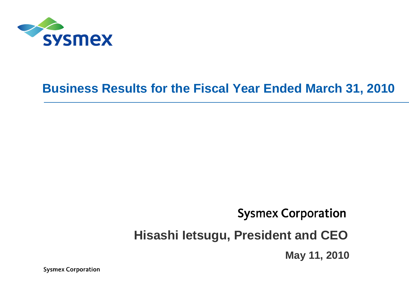

# **Business Results for the Fiscal Year Ended March 31, 2010**

## **Sysmex Corporation**

# **Hisashi Ietsugu, President and CEO**

**May 11, 2010**

**Sysmex Corporation**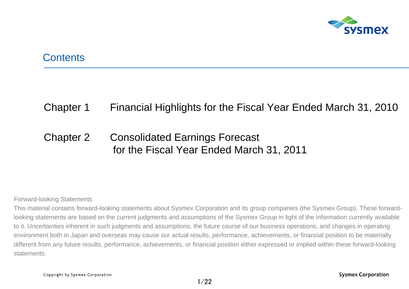

### **Contents**

### Chapter 1 Financial Highlights for the Fiscal Year Ended March 31, 2010

### Chapter 2 Consolidated Earnings Forecast for the Fiscal Year Ended March 31, 2011

#### Forward-looking Statements

This material contains forward-looking statements about Sysmex Corporation and its group companies (the Sysmex Group). These forwardlooking statements are based on the current judgments and assumptions of the Sysmex Group in light of the information currently available to it. Uncertainties inherent in such judgments and assumptions, the future course of our business operations, and changes in operating environment both in Japan and overseas may cause our actual results, performance, achievements, or financial position to be materially different from any future results, performance, achievements, or financial position either expressed or implied within these forward-looking statements.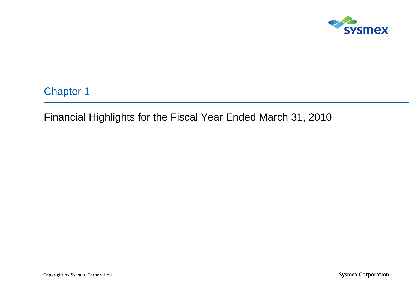

Chapter 1

Financial Highlights for the Fiscal Year Ended March 31, 2010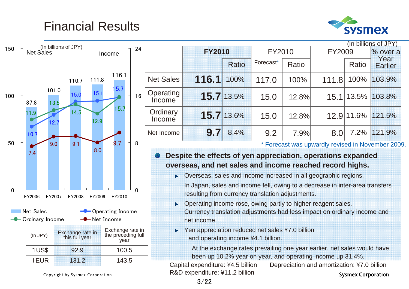# Financial Results





Copyright by Sysmex Corporation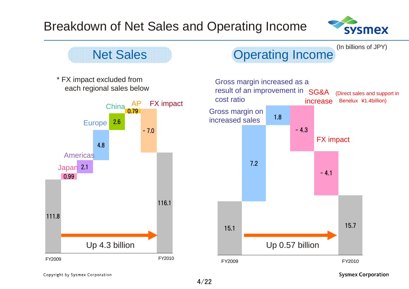# Breakdown of Net Sales and Operating Income





Copyright by Sysmex Corporation

**Sysmex Corporation**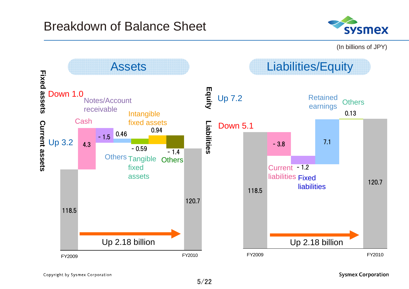### Breakdown of Balance Sheet



(In billions of JPY)



**Sysmex Corporation**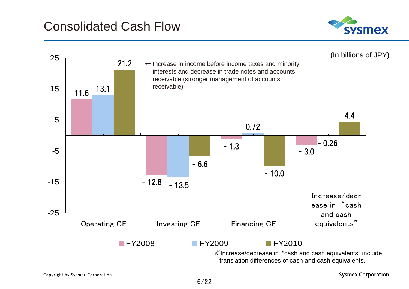

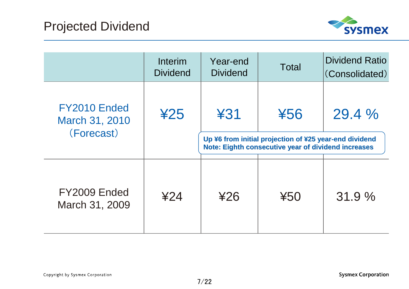

|                                              | Interim<br><b>Dividend</b> | Year-end<br><b>Dividend</b>                                                                                                        | <b>Total</b> | <b>Dividend Ratio</b><br>(Consolidated) |
|----------------------------------------------|----------------------------|------------------------------------------------------------------------------------------------------------------------------------|--------------|-----------------------------------------|
| FY2010 Ended<br>March 31, 2010<br>(Forecast) | 425                        | 431<br>456<br>Up ¥6 from initial projection of ¥25 year-end dividend<br><b>Note: Eighth consecutive year of dividend increases</b> |              | 29.4%                                   |
| FY2009 Ended<br>March 31, 2009               | ¥24                        | 426                                                                                                                                | $*50$        | 31.9%                                   |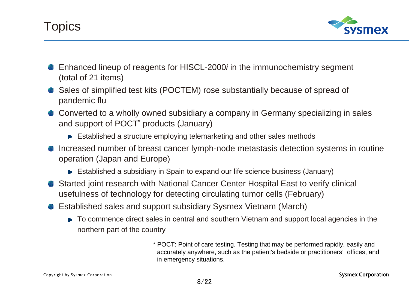



- Enhanced lineup of reagents for HISCL-2000*i* in the immunochemistry segment (total of 21 items)
- Sales of simplified test kits (POCTEM) rose substantially because of spread of pandemic flu
- Converted to a wholly owned subsidiary a company in Germany specializing in sales and support of POCT<sup>\*</sup> products (January)
	- Established a structure employing telemarketing and other sales methods
- Increased number of breast cancer lymph-node metastasis detection systems in routine operation (Japan and Europe)
	- Established a subsidiary in Spain to expand our life science business (January)
- Started joint research with National Cancer Center Hospital East to verify clinical usefulness of technology for detecting circulating tumor cells (February)
- Established sales and support subsidiary Sysmex Vietnam (March)
	- ► To commence direct sales in central and southern Vietnam and support local agencies in the northern part of the country

\* POCT: Point of care testing. Testing that may be performed rapidly, easily and accurately anywhere, such as the patient's bedside or practitioners' offices, and in emergency situations.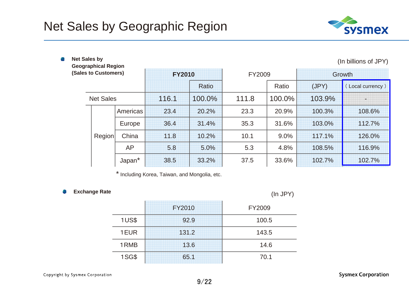

| <b>Net Sales by</b><br>(In billions of JPY)<br><b>Geographical Region</b> |                  |               |       |        |       |        |        |                 |
|---------------------------------------------------------------------------|------------------|---------------|-------|--------|-------|--------|--------|-----------------|
| (Sales to Customers)                                                      |                  | <b>FY2010</b> |       | FY2009 |       | Growth |        |                 |
|                                                                           |                  |               |       | Ratio  |       | Ratio  | (JPY)  | Local currency) |
|                                                                           | <b>Net Sales</b> |               | 116.1 | 100.0% | 111.8 | 100.0% | 103.9% |                 |
|                                                                           |                  | Americas      | 23.4  | 20.2%  | 23.3  | 20.9%  | 100.3% | 108.6%          |
|                                                                           |                  | Europe        | 36.4  | 31.4%  | 35.3  | 31.6%  | 103.0% | 112.7%          |
|                                                                           | Region           | China         | 11.8  | 10.2%  | 10.1  | 9.0%   | 117.1% | 126.0%          |
|                                                                           |                  | <b>AP</b>     | 5.8   | 5.0%   | 5.3   | 4.8%   | 108.5% | 116.9%          |
|                                                                           |                  | Japan*        | 38.5  | 33.2%  | 37.5  | 33.6%  | 102.7% | 102.7%          |

\* Including Korea, Taiwan, and Mongolia, etc.

#### **Exchange Rate** 鶗

é.

(In JPY)

|              | <b>FY2010</b> | FY2009 |
|--------------|---------------|--------|
| 1US\$        | 92.9          | 100.5  |
| 1EUR         | 131.2         | 143.5  |
| 1RMB         | 13.6          | 14.6   |
| <b>1SG\$</b> | 65.1          | 70.1   |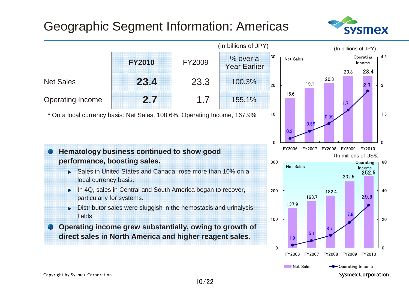# Geographic Segment Information: Americas



23.3

1.7

232.5

17.8

23.4

Operating  $\overline{1}$  4.5 Income

2.7

 $\Omega$ 

 $\Omega$ 

20

40

252.5

Operating  $\overline{0}$  60 Income

29.9

1.5

3



**Conducting Income Sysmex Corporation** 

**Net Sales** 

Copyright by Sysmex Corporation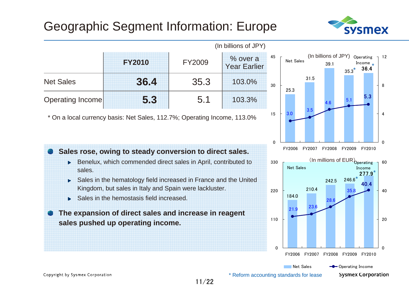# Geographic Segment Information: Europe







**Sysmex Corporation** 

Copyright by Sysmex Corporation

\* Reform accounting standards for lease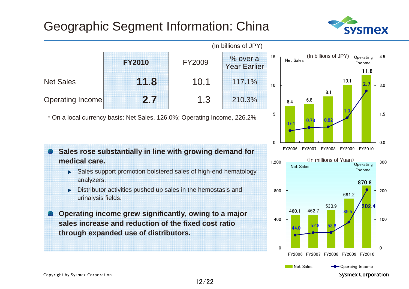# Geographic Segment Information: China





\* On a local currency basis: Net Sales, 126.0%; Operating Income, 226.2%



- ▶ Sales support promotion bolstered sales of high-end hematology analyzers.
- Distributor activities pushed up sales in the hemostasis and urinalysis fields.
- **Operating income grew significantly, owing to a major sales increase and reduction of the fixed cost ratio through expanded use of distributors.**

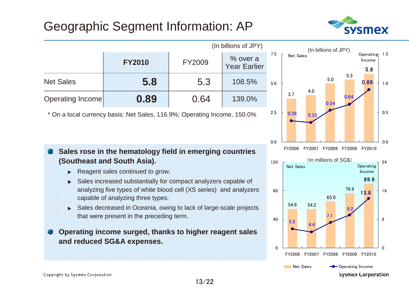# Geographic Segment Information: AP



5.8

Operating 1.5 Income

0.89

89.9

**Operating** Income

13.8

**Sysmex Corporation** 

0.0

24

 $\Omega$ 

8

16

0.5

1.0

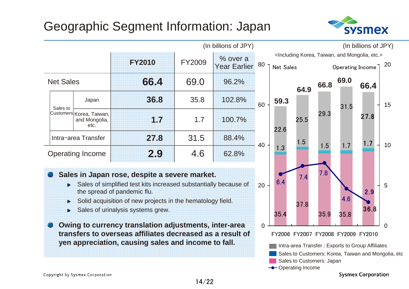# Geographic Segment Information: Japan





**Sysmex Corporation**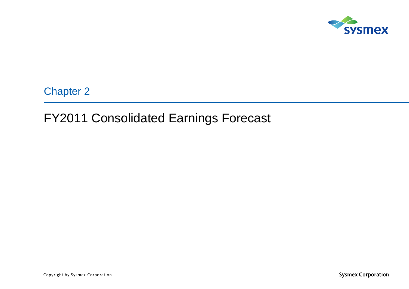

Chapter 2

### FY2011 Consolidated Earnings Forecast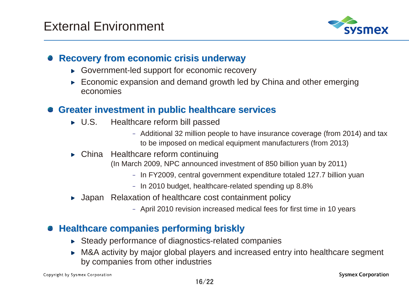

### **Recovery from economic crisis underway Recovery from economic crisis underway**

- Government-led support for economic recovery
- ► Economic expansion and demand growth led by China and other emerging economies

### **Greater investment in public healthcare services Greater investment in public healthcare services**

- ► U.S. Healthcare reform bill passed
	- Additional 32 million people to have insurance coverage (from 2014) and tax to be imposed on medical equipment manufacturers (from 2013)
- China Healthcare reform continuing
	- (In March 2009, NPC announced investment of 850 billion yuan by 2011)
		- In FY2009, central government expenditure totaled 127.7 billion yuan
		- In 2010 budget, healthcare-related spending up 8.8%
- ▶ Japan Relaxation of healthcare cost containment policy
	- April 2010 revision increased medical fees for first time in 10 years

### **Healthcare companies performing briskly Healthcare companies performing briskly**

- ► Steady performance of diagnostics-related companies
- ► M&A activity by major global players and increased entry into healthcare segment by companies from other industries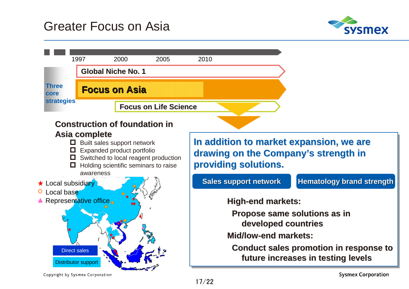### Greater Focus on Asia





**Sysmex Corporation** 

Copyright by Sysmex Corporation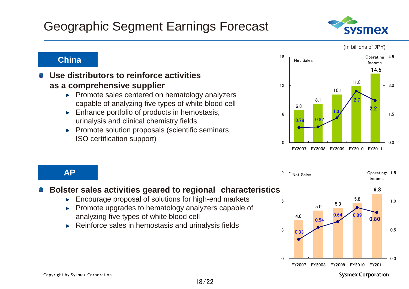### Geographic Segment Earnings Forecast

### **China**

#### **Use distributors to reinforce activities as a comprehensive supplier**

- $\blacktriangleright$  Promote sales centered on hematology analyzers capable of analyzing five types of white blood cell
- $\blacktriangleright$  Enhance portfolio of products in hemostasis, urinalysis and clinical chemistry fields
- $\blacktriangleright$  Promote solution proposals (scientific seminars, ISO certification support)



### **AP**

### **Bolster sales activities geared to regional characteristics**

- Encourage proposal of solutions for high-end markets  $\mathbf{p}$
- Promote upgrades to hematology analyzers capable of analyzing five types of white blood cell
- ► Reinforce sales in hemostasis and urinalysis fields





(In billions of JPY)

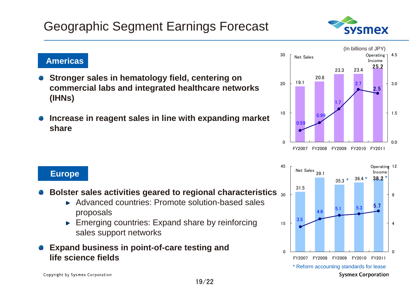### Geographic Segment Earnings Forecast

#### **Americas**

- **Stronger sales in hematology field, centering on commercial labs and integrated healthcare networks (IHNs)**
- **Increase in reagent sales in line with expanding market share**

#### **Europe**

- 30**Bolster sales activities geared to regional characteristics**
	- Advanced countries: Promote solution-based sales proposals

19/22

**Emerging countries: Expand share by reinforcing** sales support networks

### **Expand business in point-of-care testing and life science fields**





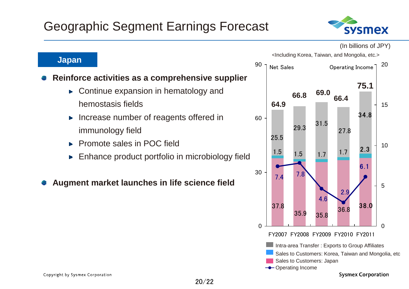

(In billions of JPY)



**Japan**

### **Reinforce activities as a comprehensive supplier**

- Continue expansion in hematology and b. hemostasis fields
- Increase number of reagents offered in h. immunology field
- Promote sales in POC field
- Enhance product portfolio in microbiology field

#### **Augment market launches in life science field**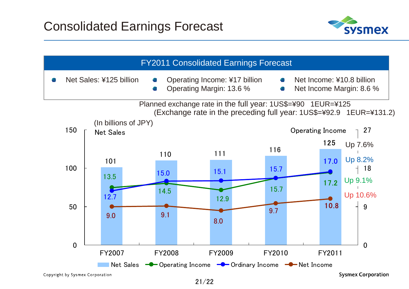

|                                 |                                          |               | <b>FY2011 Consolidated Earnings Forecast</b>                                    |        |                                                                     |
|---------------------------------|------------------------------------------|---------------|---------------------------------------------------------------------------------|--------|---------------------------------------------------------------------|
|                                 | Net Sales: ¥125 billion                  |               | Operating Income: ¥17 billion<br>Operating Margin: 13.6 %                       | e.     | Net Income: ¥10.8 billion<br>Net Income Margin: 8.6 %               |
|                                 |                                          |               | Planned exchange rate in the full year: 1US\$=¥90 1EUR=¥125                     |        | (Exchange rate in the preceding full year: 1US\$=¥92.9 1EUR=¥131.2) |
| 150                             | (In billions of JPY)<br><b>Net Sales</b> |               |                                                                                 |        | Operating Income<br>27                                              |
|                                 |                                          | 110           | 111                                                                             | 116    | 125<br>Up 7.6%                                                      |
| 100                             | 101                                      |               |                                                                                 |        | Up 8.2%<br>17.0                                                     |
|                                 | 13.5                                     | 15.0          | 15.1                                                                            | 15.7   | 18<br>Up 9.1%<br>17.2                                               |
|                                 | 12.7                                     | 14.5          | 12.9                                                                            | 15.7   | Up 10.6%                                                            |
| 50                              | 9.0                                      | 9.1           |                                                                                 | 9.7    | 10.8<br>9                                                           |
|                                 |                                          |               | 8.0                                                                             |        |                                                                     |
| $\mathbf 0$                     |                                          |               |                                                                                 |        | $\mathbf{0}$                                                        |
|                                 | FY2007                                   | <b>FY2008</b> | <b>FY2009</b>                                                                   | FY2010 | FY2011                                                              |
| Copyright by Sysmex Corporation | <b>Net Sales</b>                         |               | <b>-C</b> Operating Income $\leftarrow$ Ordinary Income $\leftarrow$ Net Income |        | <b>Sysmex Corporation</b>                                           |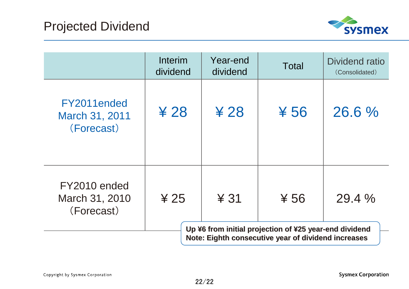

|                                              | Interim<br>dividend | Year-end<br>dividend | Total                                                           | Dividend ratio<br>(Consolidated) |
|----------------------------------------------|---------------------|----------------------|-----------------------------------------------------------------|----------------------------------|
| FY2011ended<br>March 31, 2011<br>(Forecast)  | ¥ 28                | ¥ 28                 | $*56$                                                           | 26.6%                            |
| FY2010 ended<br>March 31, 2010<br>(Forecast) | & 25                | $&$ 31               | $*56$<br>Up ¥6 from initial projection of ¥25 year-end dividend | 29.4%                            |